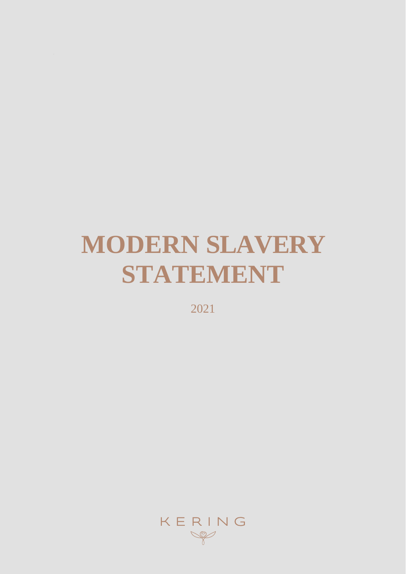# **MODERN SLAVERY STATEMENT**

2021

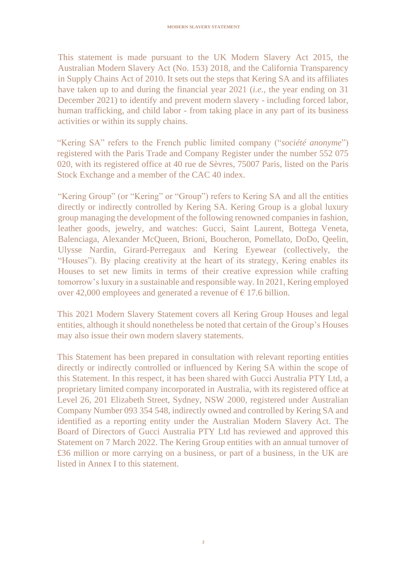This statement is made pursuant to the UK Modern Slavery Act 2015, the Australian Modern Slavery Act (No. 153) 2018, and the California Transparency in Supply Chains Act of 2010. It sets out the steps that Kering SA and its affiliates have taken up to and during the financial year 2021 (*i.e.*, the year ending on 31 December 2021) to identify and prevent modern slavery - including forced labor, human trafficking, and child labor - from taking place in any part of its business activities or within its supply chains.

"Kering SA" refers to the French public limited company ("*société anonyme*") registered with the Paris Trade and Company Register under the number 552 075 020, with its registered office at 40 rue de Sèvres, 75007 Paris, listed on the Paris Stock Exchange and a member of the CAC 40 index.

"Kering Group" (or "Kering" or "Group") refers to Kering SA and all the entities directly or indirectly controlled by Kering SA. Kering Group is a global luxury group managing the development of the following renowned companies in fashion, leather goods, jewelry, and watches: Gucci, Saint Laurent, Bottega Veneta, Balenciaga, Alexander McQueen, Brioni, Boucheron, Pomellato, DoDo, Qeelin, Ulysse Nardin, Girard-Perregaux and Kering Eyewear (collectively, the "Houses"). By placing creativity at the heart of its strategy, Kering enables its Houses to set new limits in terms of their creative expression while crafting tomorrow's luxury in a sustainable and responsible way. In 2021, Kering employed over 42,000 employees and generated a revenue of  $\epsilon$  17.6 billion.

This 2021 Modern Slavery Statement covers all Kering Group Houses and legal entities, although it should nonetheless be noted that certain of the Group's Houses may also issue their own modern slavery statements.

This Statement has been prepared in consultation with relevant reporting entities directly or indirectly controlled or influenced by Kering SA within the scope of this Statement. In this respect, it has been shared with Gucci Australia PTY Ltd, a proprietary limited company incorporated in Australia, with its registered office at Level 26, 201 Elizabeth Street, Sydney, NSW 2000, registered under Australian Company Number 093 354 548, indirectly owned and controlled by Kering SA and identified as a reporting entity under the Australian Modern Slavery Act. The Board of Directors of Gucci Australia PTY Ltd has reviewed and approved this Statement on 7 March 2022. The Kering Group entities with an annual turnover of £36 million or more carrying on a business, or part of a business, in the UK are listed in Annex I to this statement.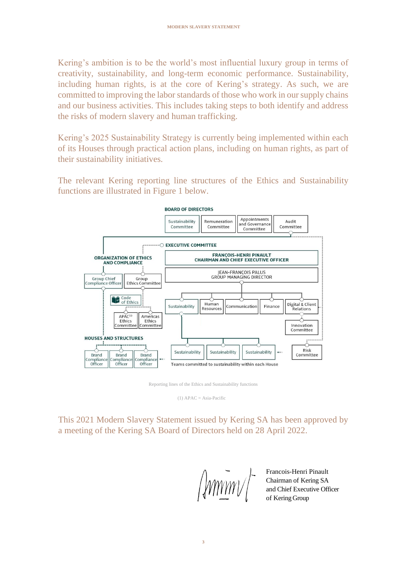Kering's ambition is to be the world's most influential luxury group in terms of creativity, sustainability, and long-term economic performance. Sustainability, including human rights, is at the core of Kering's strategy. As such, we are committed to improving the labor standards of those who work in our supply chains and our business activities. This includes taking steps to both identify and address the risks of modern slavery and human trafficking.

Kering's 2025 Sustainability Strategy is currently being implemented within each of its Houses through practical action plans, including on human rights, as part of their sustainability initiatives.

The relevant Kering reporting line structures of the Ethics and Sustainability functions are illustrated in Figure 1 below.



Reporting lines of the Ethics and Sustainability functions

 $(1)$  APAC = Asia-Pacific

This 2021 Modern Slavery Statement issued by Kering SA has been approved by a meeting of the Kering SA Board of Directors held on 28 April 2022.

(mmm)

Francois-Henri Pinault Chairman of Kering SA and Chief Executive Officer of Kering Group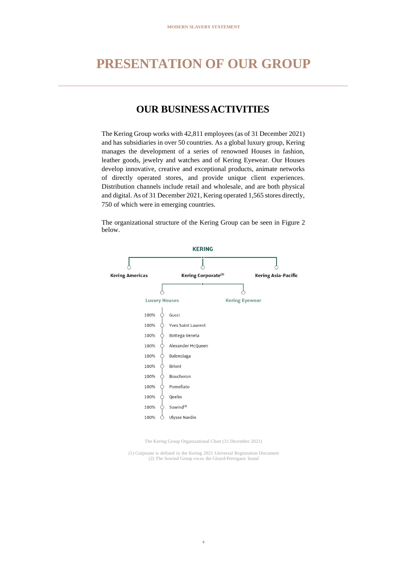# **PRESENTATION OF OUR GROUP**

# **OUR BUSINESSACTIVITIES**

The Kering Group works with 42,811 employees (as of 31 December 2021) and has subsidiaries in over 50 countries. As a global luxury group, Kering manages the development of a series of renowned Houses in fashion, leather goods, jewelry and watches and of Kering Eyewear. Our Houses develop innovative, creative and exceptional products, animate networks of directly operated stores, and provide unique client experiences. Distribution channels include retail and wholesale, and are both physical and digital. As of 31 December 2021, Kering operated 1,565 stores directly, 750 of which were in emerging countries.

The organizational structure of the Kering Group can be seen in Figure 2 below.



The Kering Group Organizational Chart (31 December 2021)

(1) Corporate is defined in the Kering 2021 Universal Registration Document (2) The Sowind Group owns the Girard-Perregaux brand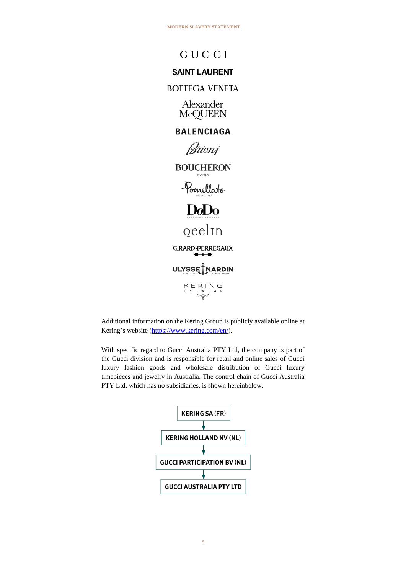# GUCCI

### **SAINT LAURENT**

### **BOTTEGA VENETA**

Alexander McQUEEN

**BALENCIAGA** 



**BOUCHERON** 



oeelin

**GIRARD-PERREGAUX** ULYSSE NARDIN

KERING<br>EYEWEAR

Additional information on the Kering Group is publicly available online at Kering's website [\(https://www.kering.com/en/\)](https://www.kering.com/en/).

With specific regard to Gucci Australia PTY Ltd, the company is part of the Gucci division and is responsible for retail and online sales of Gucci luxury fashion goods and wholesale distribution of Gucci luxury timepieces and jewelry in Australia. The control chain of Gucci Australia PTY Ltd, which has no subsidiaries, is shown hereinbelow.

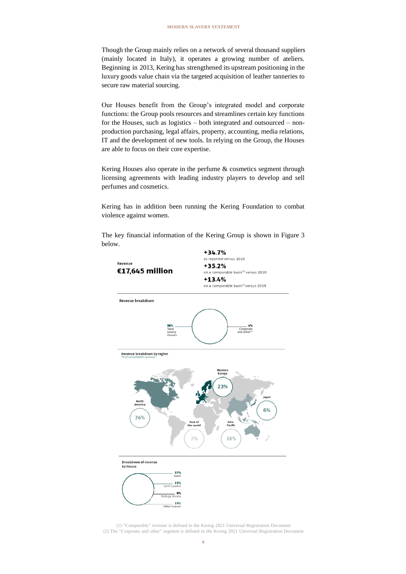Though the Group mainly relies on a network of several thousand suppliers (mainly located in Italy), it operates a growing number of ateliers. Beginning in 2013, Kering has strengthened its upstream positioning in the luxury goods value chain via the targeted acquisition of leather tanneries to secure raw material sourcing.

Our Houses benefit from the Group's integrated model and corporate functions: the Group pools resources and streamlines certain key functions for the Houses, such as logistics – both integrated and outsourced – nonproduction purchasing, legal affairs, property, accounting, media relations, IT and the development of new tools. In relying on the Group, the Houses are able to focus on their core expertise.

Kering Houses also operate in the perfume  $&$  cosmetics segment through licensing agreements with leading industry players to develop and sell perfumes and cosmetics.

Kering has in addition been running the Kering Foundation to combat violence against women.

The key financial information of the Kering Group is shown in Figure 3 below.



(1) "Comparable" revenue is defined in the Kering 2021 Universal Registration Document (2) The "Corporate and other" segment is defined in the Kering 2021 Universal Registration Document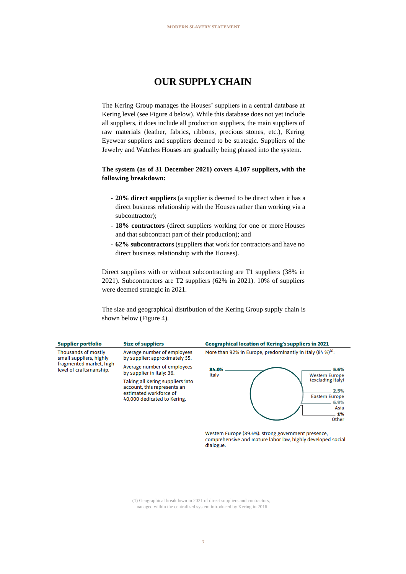### **OUR SUPPLYCHAIN**

The Kering Group manages the Houses' suppliers in a central database at Kering level (see Figure 4 below). While this database does not yet include all suppliers, it does include all production suppliers, the main suppliers of raw materials (leather, fabrics, ribbons, precious stones, etc.), Kering Eyewear suppliers and suppliers deemed to be strategic. Suppliers of the Jewelry and Watches Houses are gradually being phased into the system.

#### **The system (as of 31 December 2021) covers 4,107 suppliers, with the following breakdown:**

- **20% direct suppliers** (a supplier is deemed to be direct when it has a direct business relationship with the Houses rather than working via a subcontractor);
- **18% contractors** (direct suppliers working for one or more Houses and that subcontract part of their production); and
- **62% subcontractors** (suppliers that work for contractors and have no direct business relationship with the Houses).

Direct suppliers with or without subcontracting are T1 suppliers (38% in 2021). Subcontractors are T2 suppliers (62% in 2021). 10% of suppliers were deemed strategic in 2021.

The size and geographical distribution of the Kering Group supply chain is shown below (Figure 4).



(1) Geographical breakdown in 2021 of direct suppliers and contractors, managed within the centralized system introduced by Kering in 2016.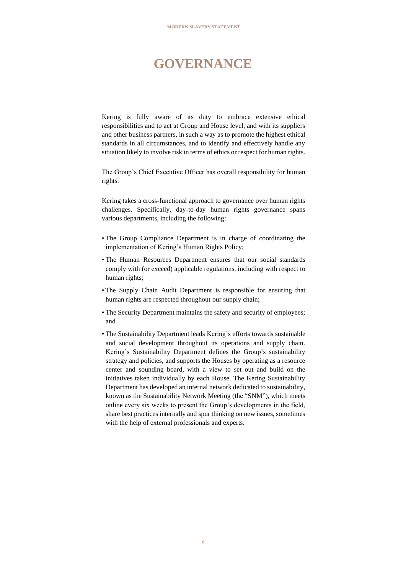# **GOVERNANCE**

Kering is fully aware of its duty to embrace extensive ethical responsibilities and to act at Group and House level, and with its suppliers and other business partners, in such a way as to promote the highest ethical standards in all circumstances, and to identify and effectively handle any situation likely to involve risk in terms of ethics or respect for human rights.

The Group's Chief Executive Officer has overall responsibility for human rights.

Kering takes a cross-functional approach to governance over human rights challenges. Specifically, day-to-day human rights governance spans various departments, including the following:

- The Group Compliance Department is in charge of coordinating the implementation of Kering's Human Rights Policy;
- The Human Resources Department ensures that our social standards comply with (or exceed) applicable regulations, including with respect to human rights;
- The Supply Chain Audit Department is responsible for ensuring that human rights are respected throughout our supply chain;
- The Security Department maintains the safety and security of employees; and
- The Sustainability Department leads Kering's efforts towards sustainable and social development throughout its operations and supply chain. Kering's Sustainability Department defines the Group's sustainability strategy and policies, and supports the Houses by operating as a resource center and sounding board, with a view to set out and build on the initiatives taken individually by each House. The Kering Sustainability Department has developed an internal network dedicated to sustainability, known as the Sustainability Network Meeting (the "SNM"), which meets online every six weeks to present the Group's developments in the field, share best practices internally and spur thinking on new issues, sometimes with the help of external professionals and experts.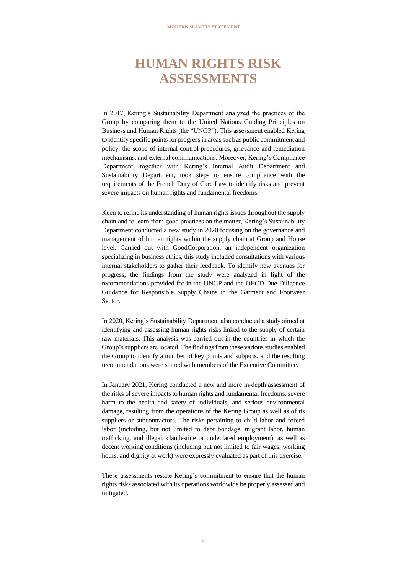# **HUMAN RIGHTS RISK ASSESSMENTS**

In 2017, Kering's Sustainability Department analyzed the practices of the Group by comparing them to the United Nations Guiding Principles on Business and Human Rights (the "UNGP"). This assessment enabled Kering to identify specific points for progress in areas such as public commitment and policy, the scope of internal control procedures, grievance and remediation mechanisms, and external communications. Moreover, Kering's Compliance Department, together with Kering's Internal Audit Department and Sustainability Department, took steps to ensure compliance with the requirements of the French Duty of Care Law to identify risks and prevent severe impacts on human rights and fundamental freedoms.

Keen to refine its understanding of human rights issues throughout the supply chain and to learn from good practices on the matter, Kering's Sustainability Department conducted a new study in 2020 focusing on the governance and management of human rights within the supply chain at Group and House level. Carried out with GoodCorporation, an independent organization specializing in business ethics, this study included consultations with various internal stakeholders to gather their feedback. To identify new avenues for progress, the findings from the study were analyzed in light of the recommendations provided for in the UNGP and the OECD Due Diligence Guidance for Responsible Supply Chains in the Garment and Footwear **Sector** 

In 2020, Kering's Sustainability Department also conducted a study aimed at identifying and assessing human rights risks linked to the supply of certain raw materials. This analysis was carried out in the countries in which the Group's suppliers are located. The findings from these various studies enabled the Group to identify a number of key points and subjects, and the resulting recommendations were shared with members of the Executive Committee.

In January 2021, Kering conducted a new and more in-depth assessment of the risks of severe impacts to human rights and fundamental freedoms, severe harm to the health and safety of individuals, and serious environmental damage, resulting from the operations of the Kering Group as well as of its suppliers or subcontractors. The risks pertaining to child labor and forced labor (including, but not limited to debt bondage, migrant labor, human trafficking, and illegal, clandestine or undeclared employment), as well as decent working conditions (including but not limited to fair wages, working hours, and dignity at work) were expressly evaluated as part of this exercise.

These assessments restate Kering's commitment to ensure that the human rights risks associated with its operations worldwide be properly assessed and mitigated.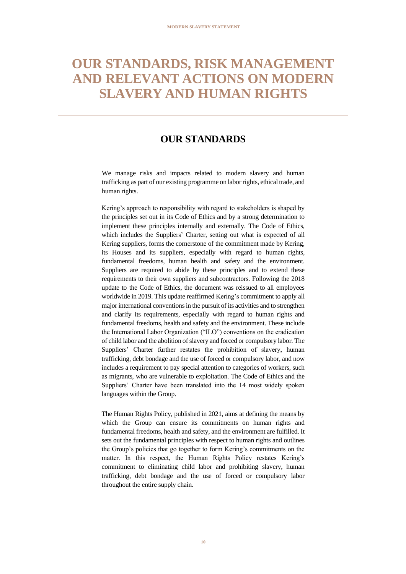# **OUR STANDARDS, RISK MANAGEMENT AND RELEVANT ACTIONS ON MODERN SLAVERY AND HUMAN RIGHTS**

### **OUR STANDARDS**

We manage risks and impacts related to modern slavery and human trafficking as part of our existing programme on labor rights, ethical trade, and human rights.

Kering's approach to responsibility with regard to stakeholders is shaped by the principles set out in its Code of Ethics and by a strong determination to implement these principles internally and externally. The Code of Ethics, which includes the Suppliers' Charter, setting out what is expected of all Kering suppliers, forms the cornerstone of the commitment made by Kering, its Houses and its suppliers, especially with regard to human rights, fundamental freedoms, human health and safety and the environment. Suppliers are required to abide by these principles and to extend these requirements to their own suppliers and subcontractors. Following the 2018 update to the Code of Ethics, the document was reissued to all employees worldwide in 2019. This update reaffirmed Kering's commitment to apply all major international conventions in the pursuit of its activities and to strengthen and clarify its requirements, especially with regard to human rights and fundamental freedoms, health and safety and the environment. These include the International Labor Organization ("ILO") conventions on the eradication of child labor and the abolition of slavery and forced or compulsory labor. The Suppliers' Charter further restates the prohibition of slavery, human trafficking, debt bondage and the use of forced or compulsory labor, and now includes a requirement to pay special attention to categories of workers, such as migrants, who are vulnerable to exploitation. The Code of Ethics and the Suppliers' Charter have been translated into the 14 most widely spoken languages within the Group.

The Human Rights Policy, published in 2021, aims at defining the means by which the Group can ensure its commitments on human rights and fundamental freedoms, health and safety, and the environment are fulfilled. It sets out the fundamental principles with respect to human rights and outlines the Group's policies that go together to form Kering's commitments on the matter. In this respect, the Human Rights Policy restates Kering's commitment to eliminating child labor and prohibiting slavery, human trafficking, debt bondage and the use of forced or compulsory labor throughout the entire supply chain.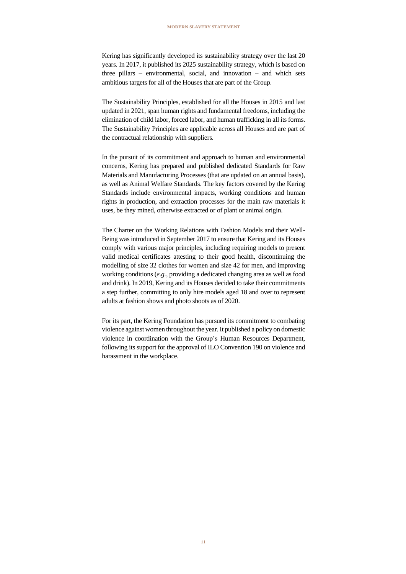Kering has significantly developed its sustainability strategy over the last 20 years. In 2017, it published its 2025 sustainability strategy, which is based on three pillars – environmental, social, and innovation – and which sets ambitious targets for all of the Houses that are part of the Group.

The Sustainability Principles, established for all the Houses in 2015 and last updated in 2021, span human rights and fundamental freedoms, including the elimination of child labor, forced labor, and human trafficking in all its forms. The Sustainability Principles are applicable across all Houses and are part of the contractual relationship with suppliers.

In the pursuit of its commitment and approach to human and environmental concerns, Kering has prepared and published dedicated Standards for Raw Materials and Manufacturing Processes (that are updated on an annual basis), as well as Animal Welfare Standards. The key factors covered by the Kering Standards include environmental impacts, working conditions and human rights in production, and extraction processes for the main raw materials it uses, be they mined, otherwise extracted or of plant or animal origin.

The Charter on the Working Relations with Fashion Models and their Well-Being was introduced in September 2017 to ensure that Kering and its Houses comply with various major principles, including requiring models to present valid medical certificates attesting to their good health, discontinuing the modelling of size 32 clothes for women and size 42 for men, and improving working conditions (*e.g.*, providing a dedicated changing area as well as food and drink). In 2019, Kering and its Houses decided to take their commitments a step further, committing to only hire models aged 18 and over to represent adults at fashion shows and photo shoots as of 2020.

For its part, the Kering Foundation has pursued its commitment to combating violence against women throughout the year. It published a policy on domestic violence in coordination with the Group's Human Resources Department, following its support for the approval of ILO Convention 190 on violence and harassment in the workplace.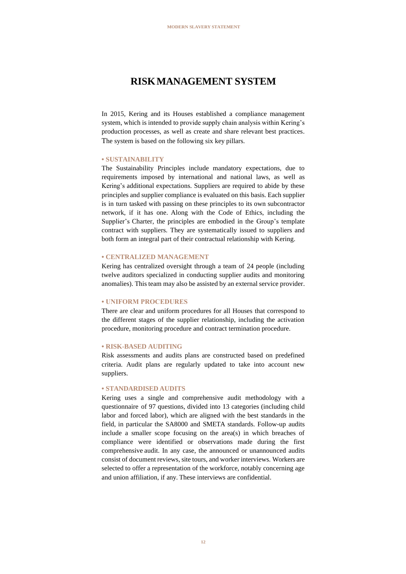### **RISKMANAGEMENT SYSTEM**

In 2015, Kering and its Houses established a compliance management system, which is intended to provide supply chain analysis within Kering's production processes, as well as create and share relevant best practices. The system is based on the following six key pillars.

#### **• SUSTAINABILITY**

The Sustainability Principles include mandatory expectations, due to requirements imposed by international and national laws, as well as Kering's additional expectations. Suppliers are required to abide by these principles and supplier compliance is evaluated on this basis. Each supplier is in turn tasked with passing on these principles to its own subcontractor network, if it has one. Along with the Code of Ethics, including the Supplier's Charter, the principles are embodied in the Group's template contract with suppliers. They are systematically issued to suppliers and both form an integral part of their contractual relationship with Kering.

#### **• CENTRALIZED MANAGEMENT**

Kering has centralized oversight through a team of 24 people (including twelve auditors specialized in conducting supplier audits and monitoring anomalies). This team may also be assisted by an external service provider.

#### **• UNIFORM PROCEDURES**

There are clear and uniform procedures for all Houses that correspond to the different stages of the supplier relationship, including the activation procedure, monitoring procedure and contract termination procedure.

#### **• RISK-BASED AUDITING**

Risk assessments and audits plans are constructed based on predefined criteria. Audit plans are regularly updated to take into account new suppliers.

#### **• STANDARDISED AUDITS**

Kering uses a single and comprehensive audit methodology with a questionnaire of 97 questions, divided into 13 categories (including child labor and forced labor), which are aligned with the best standards in the field, in particular the SA8000 and SMETA standards. Follow-up audits include a smaller scope focusing on the area(s) in which breaches of compliance were identified or observations made during the first comprehensive audit. In any case, the announced or unannounced audits consist of document reviews, site tours, and worker interviews. Workers are selected to offer a representation of the workforce, notably concerning age and union affiliation, if any. These interviews are confidential.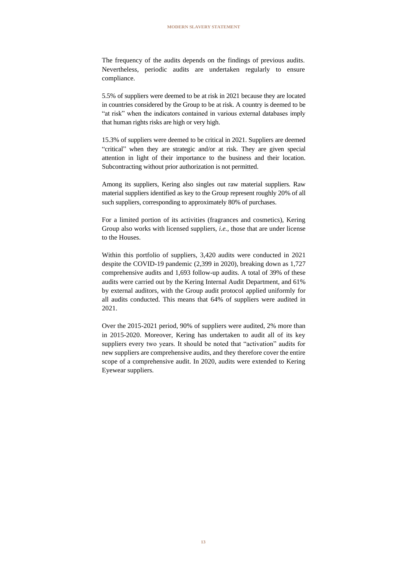The frequency of the audits depends on the findings of previous audits. Nevertheless, periodic audits are undertaken regularly to ensure compliance.

5.5% of suppliers were deemed to be at risk in 2021 because they are located in countries considered by the Group to be at risk. A country is deemed to be "at risk" when the indicators contained in various external databases imply that human rights risks are high or very high.

15.3% of suppliers were deemed to be critical in 2021. Suppliers are deemed "critical" when they are strategic and/or at risk. They are given special attention in light of their importance to the business and their location. Subcontracting without prior authorization is not permitted.

Among its suppliers, Kering also singles out raw material suppliers. Raw material suppliers identified as key to the Group represent roughly 20% of all such suppliers, corresponding to approximately 80% of purchases.

For a limited portion of its activities (fragrances and cosmetics), Kering Group also works with licensed suppliers, *i.e.*, those that are under license to the Houses.

Within this portfolio of suppliers, 3,420 audits were conducted in 2021 despite the COVID-19 pandemic (2,399 in 2020), breaking down as 1,727 comprehensive audits and 1,693 follow-up audits. A total of 39% of these audits were carried out by the Kering Internal Audit Department, and 61% by external auditors, with the Group audit protocol applied uniformly for all audits conducted. This means that 64% of suppliers were audited in 2021.

Over the 2015-2021 period, 90% of suppliers were audited, 2% more than in 2015-2020. Moreover, Kering has undertaken to audit all of its key suppliers every two years. It should be noted that "activation" audits for new suppliers are comprehensive audits, and they therefore cover the entire scope of a comprehensive audit. In 2020, audits were extended to Kering Eyewear suppliers.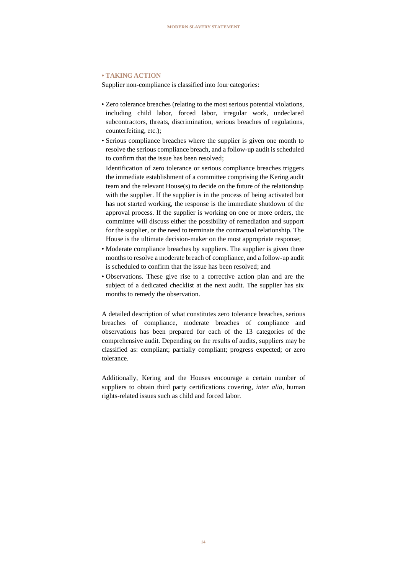#### **• TAKING ACTION**

Supplier non-compliance is classified into four categories:

- Zero tolerance breaches (relating to the most serious potential violations, including child labor, forced labor, irregular work, undeclared subcontractors, threats, discrimination, serious breaches of regulations, counterfeiting, etc.);
- Serious compliance breaches where the supplier is given one month to resolve the serious compliance breach, and a follow-up audit is scheduled to confirm that the issue has been resolved;

Identification of zero tolerance or serious compliance breaches triggers the immediate establishment of a committee comprising the Kering audit team and the relevant House(s) to decide on the future of the relationship with the supplier. If the supplier is in the process of being activated but has not started working, the response is the immediate shutdown of the approval process. If the supplier is working on one or more orders, the committee will discuss either the possibility of remediation and support for the supplier, or the need to terminate the contractual relationship. The House is the ultimate decision-maker on the most appropriate response;

- Moderate compliance breaches by suppliers. The supplier is given three months to resolve a moderate breach of compliance, and a follow-up audit is scheduled to confirm that the issue has been resolved; and
- Observations. These give rise to a corrective action plan and are the subject of a dedicated checklist at the next audit. The supplier has six months to remedy the observation.

A detailed description of what constitutes zero tolerance breaches, serious breaches of compliance, moderate breaches of compliance and observations has been prepared for each of the 13 categories of the comprehensive audit. Depending on the results of audits, suppliers may be classified as: compliant; partially compliant; progress expected; or zero tolerance.

Additionally, Kering and the Houses encourage a certain number of suppliers to obtain third party certifications covering, *inter alia*, human rights-related issues such as child and forced labor.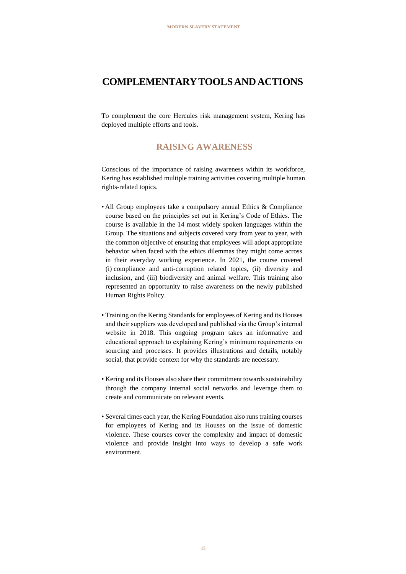# **COMPLEMENTARYTOOLSANDACTIONS**

To complement the core Hercules risk management system, Kering has deployed multiple efforts and tools.

### **RAISING AWARENESS**

Conscious of the importance of raising awareness within its workforce, Kering has established multiple training activities covering multiple human rights-related topics.

- All Group employees take a compulsory annual Ethics & Compliance course based on the principles set out in Kering's Code of Ethics. The course is available in the 14 most widely spoken languages within the Group. The situations and subjects covered vary from year to year, with the common objective of ensuring that employees will adopt appropriate behavior when faced with the ethics dilemmas they might come across in their everyday working experience. In 2021, the course covered (i) compliance and anti-corruption related topics, (ii) diversity and inclusion, and (iii) biodiversity and animal welfare. This training also represented an opportunity to raise awareness on the newly published Human Rights Policy.
- Training on the Kering Standards for employees of Kering and its Houses and their suppliers was developed and published via the Group's internal website in 2018. This ongoing program takes an informative and educational approach to explaining Kering's minimum requirements on sourcing and processes. It provides illustrations and details, notably social, that provide context for why the standards are necessary.
- Kering and its Houses also share their commitment towards sustainability through the company internal social networks and leverage them to create and communicate on relevant events.
- Several times each year, the Kering Foundation also runs training courses for employees of Kering and its Houses on the issue of domestic violence. These courses cover the complexity and impact of domestic violence and provide insight into ways to develop a safe work environment.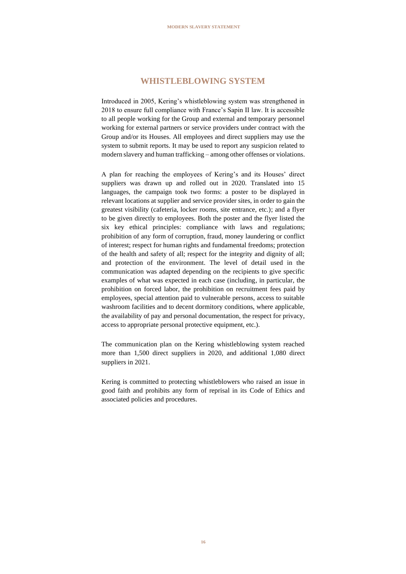#### **WHISTLEBLOWING SYSTEM**

Introduced in 2005, Kering's whistleblowing system was strengthened in 2018 to ensure full compliance with France's Sapin II law. It is accessible to all people working for the Group and external and temporary personnel working for external partners or service providers under contract with the Group and/or its Houses. All employees and direct suppliers may use the system to submit reports. It may be used to report any suspicion related to modern slavery and human trafficking – among other offenses or violations.

A plan for reaching the employees of Kering's and its Houses' direct suppliers was drawn up and rolled out in 2020. Translated into 15 languages, the campaign took two forms: a poster to be displayed in relevant locations at supplier and service provider sites, in order to gain the greatest visibility (cafeteria, locker rooms, site entrance, etc.); and a flyer to be given directly to employees. Both the poster and the flyer listed the six key ethical principles: compliance with laws and regulations; prohibition of any form of corruption, fraud, money laundering or conflict of interest; respect for human rights and fundamental freedoms; protection of the health and safety of all; respect for the integrity and dignity of all; and protection of the environment. The level of detail used in the communication was adapted depending on the recipients to give specific examples of what was expected in each case (including, in particular, the prohibition on forced labor, the prohibition on recruitment fees paid by employees, special attention paid to vulnerable persons, access to suitable washroom facilities and to decent dormitory conditions, where applicable, the availability of pay and personal documentation, the respect for privacy, access to appropriate personal protective equipment, etc.).

The communication plan on the Kering whistleblowing system reached more than 1,500 direct suppliers in 2020, and additional 1,080 direct suppliers in 2021.

Kering is committed to protecting whistleblowers who raised an issue in good faith and prohibits any form of reprisal in its Code of Ethics and associated policies and procedures.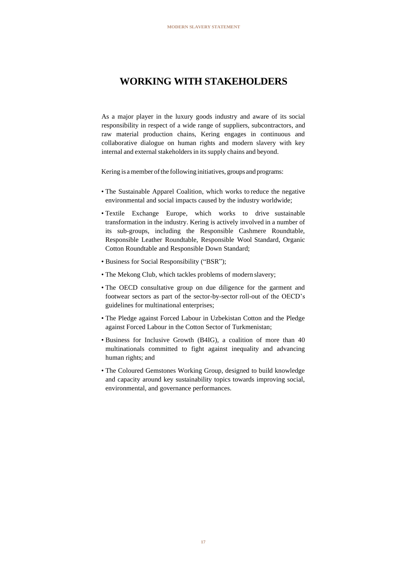# **WORKING WITH STAKEHOLDERS**

As a major player in the luxury goods industry and aware of its social responsibility in respect of a wide range of suppliers, subcontractors, and raw material production chains, Kering engages in continuous and collaborative dialogue on human rights and modern slavery with key internal and external stakeholders in its supply chains and beyond.

Kering is a member of the following initiatives, groups and programs:

- The Sustainable Apparel Coalition, which works to reduce the negative environmental and social impacts caused by the industry worldwide;
- Textile Exchange Europe, which works to drive sustainable transformation in the industry. Kering is actively involved in a number of its sub-groups, including the Responsible Cashmere Roundtable, Responsible Leather Roundtable, Responsible Wool Standard, Organic Cotton Roundtable and Responsible Down Standard;
- Business for Social Responsibility ("BSR");
- The Mekong Club, which tackles problems of modern slavery;
- The OECD consultative group on due diligence for the garment and footwear sectors as part of the sector-by-sector roll-out of the OECD's guidelines for multinational enterprises;
- The Pledge against Forced Labour in Uzbekistan Cotton and the Pledge against Forced Labour in the Cotton Sector of Turkmenistan;
- Business for Inclusive Growth (B4IG), a coalition of more than 40 multinationals committed to fight against inequality and advancing human rights; and
- The Coloured Gemstones Working Group, designed to build knowledge and capacity around key sustainability topics towards improving social, environmental, and governance performances.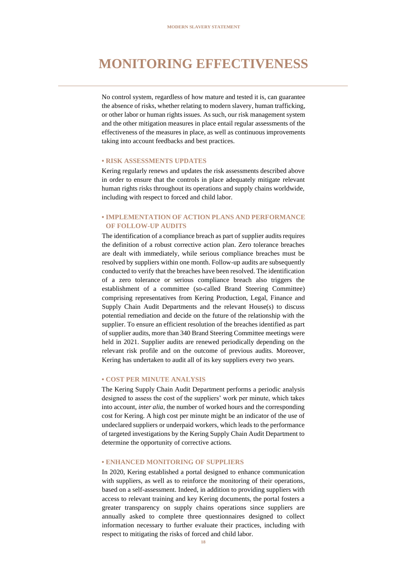# **MONITORING EFFECTIVENESS**

No control system, regardless of how mature and tested it is, can guarantee the absence of risks, whether relating to modern slavery, human trafficking, or other labor or human rights issues. As such, our risk management system and the other mitigation measures in place entail regular assessments of the effectiveness of the measures in place, as well as continuous improvements taking into account feedbacks and best practices.

#### **• RISK ASSESSMENTS UPDATES**

Kering regularly renews and updates the risk assessments described above in order to ensure that the controls in place adequately mitigate relevant human rights risks throughout its operations and supply chains worldwide, including with respect to forced and child labor.

#### **• IMPLEMENTATION OF ACTION PLANS AND PERFORMANCE OF FOLLOW-UP AUDITS**

The identification of a compliance breach as part of supplier audits requires the definition of a robust corrective action plan. Zero tolerance breaches are dealt with immediately, while serious compliance breaches must be resolved by suppliers within one month. Follow-up audits are subsequently conducted to verify that the breaches have been resolved. The identification of a zero tolerance or serious compliance breach also triggers the establishment of a committee (so-called Brand Steering Committee) comprising representatives from Kering Production, Legal, Finance and Supply Chain Audit Departments and the relevant House(s) to discuss potential remediation and decide on the future of the relationship with the supplier. To ensure an efficient resolution of the breaches identified as part of supplier audits, more than 340 Brand Steering Committee meetings were held in 2021. Supplier audits are renewed periodically depending on the relevant risk profile and on the outcome of previous audits. Moreover, Kering has undertaken to audit all of its key suppliers every two years.

#### **• COST PER MINUTE ANALYSIS**

The Kering Supply Chain Audit Department performs a periodic analysis designed to assess the cost of the suppliers' work per minute, which takes into account, *inter alia*, the number of worked hours and the corresponding cost for Kering. A high cost per minute might be an indicator of the use of undeclared suppliers or underpaid workers, which leads to the performance of targeted investigations by the Kering Supply Chain Audit Department to determine the opportunity of corrective actions.

#### **• ENHANCED MONITORING OF SUPPLIERS**

In 2020, Kering established a portal designed to enhance communication with suppliers, as well as to reinforce the monitoring of their operations, based on a self-assessment. Indeed, in addition to providing suppliers with access to relevant training and key Kering documents, the portal fosters a greater transparency on supply chains operations since suppliers are annually asked to complete three questionnaires designed to collect information necessary to further evaluate their practices, including with respect to mitigating the risks of forced and child labor.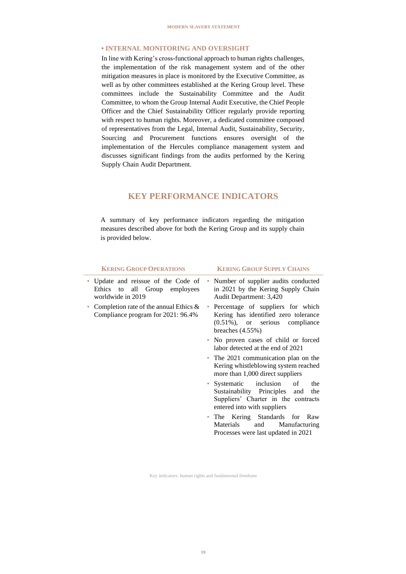#### **• INTERNAL MONITORING AND OVERSIGHT**

In line with Kering's cross-functional approach to human rights challenges, the implementation of the risk management system and of the other mitigation measures in place is monitored by the Executive Committee, as well as by other committees established at the Kering Group level. These committees include the Sustainability Committee and the Audit Committee, to whom the Group Internal Audit Executive, the Chief People Officer and the Chief Sustainability Officer regularly provide reporting with respect to human rights. Moreover, a dedicated committee composed of representatives from the Legal, Internal Audit, Sustainability, Security, Sourcing and Procurement functions ensures oversight of the implementation of the Hercules compliance management system and discusses significant findings from the audits performed by the Kering Supply Chain Audit Department.

#### **KEY PERFORMANCE INDICATORS**

A summary of key performance indicators regarding the mitigation measures described above for both the Kering Group and its supply chain is provided below.

#### **KERING GROUP OPERATIONS KERING GROUP SUPPLY CHAINS**

- Update and reissue of the Code of Ethics to all Group employees worldwide in 2019 Completion rate of the annual Ethics  $\&$ Compliance program for 2021: 96.4% • Number of supplier audits conducted in 2021 by the Kering Supply Chain Audit Department: 3,420 • Percentage of suppliers for which Kering has identified zero tolerance (0.51%), or serious compliance breaches (4.55%) • No proven cases of child or forced labor detected at the end of 2021 The 2021 communication plan on the Kering whistleblowing system reached more than 1,000 direct suppliers Systematic inclusion of the Sustainability Principles and the Suppliers' Charter in the contracts entered into with suppliers
	- The Kering Standards for Raw Materials and Manufacturing Processes were last updated in 2021

Key indicators: human rights and fundamental freedoms